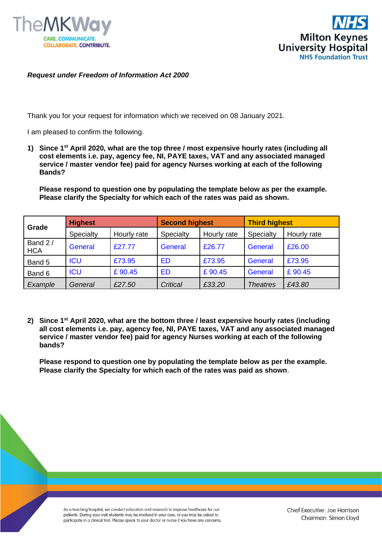



## *Request under Freedom of Information Act 2000*

Thank you for your request for information which we received on 08 January 2021.

I am pleased to confirm the following.

**1) Since 1st April 2020, what are the top three / most expensive hourly rates (including all cost elements i.e. pay, agency fee, NI, PAYE taxes, VAT and any associated managed service / master vendor fee) paid for agency Nurses working at each of the following Bands?** 

**Please respond to question one by populating the template below as per the example. Please clarify the Specialty for which each of the rates was paid as shown.**

| Grade                 | <b>Highest</b> |             | <b>Second highest</b> |             | <b>Third highest</b> |             |
|-----------------------|----------------|-------------|-----------------------|-------------|----------------------|-------------|
|                       | Specialty      | Hourly rate | Specialty             | Hourly rate | Specialty            | Hourly rate |
| Band 2/<br><b>HCA</b> | General        | £27.77      | General               | £26.77      | General              | £26.00      |
| Band 5                | <b>ICU</b>     | £73.95      | <b>ED</b>             | £73.95      | General              | £73.95      |
| Band 6                | <b>ICU</b>     | £90.45      | <b>ED</b>             | £90.45      | General              | £90.45      |
| Example               | General        | £27.50      | Critical              | £33.20      | <b>Theatres</b>      | £43.80      |

**2) Since 1st April 2020, what are the bottom three / least expensive hourly rates (including all cost elements i.e. pay, agency fee, NI, PAYE taxes, VAT and any associated managed service / master vendor fee) paid for agency Nurses working at each of the following bands?** 

**Please respond to question one by populating the template below as per the example. Please clarify the Specialty for which each of the rates was paid as shown**.

As a teaching hospital, we conduct education and research to improve healthcare for our patients. During your visit students may be involved in your care, or you may be asked to participate in a clinical trial. Please speak to your doctor or nurse if you have any concerns.